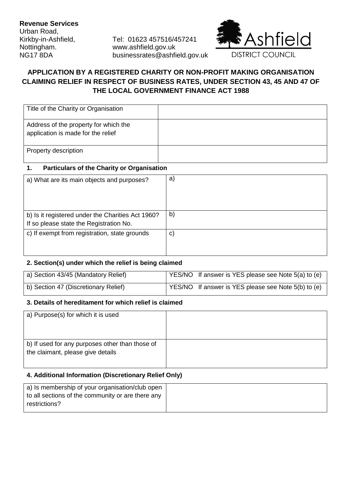Urban Road,

Kirkby-in-Ashfield, Tel: 01623 457516/457241 Nottingham. www.ashfield.gov.uk NG17 8DA businessrates@ashfield.gov.uk



# **APPLICATION BY A REGISTERED CHARITY OR NON-PROFIT MAKING ORGANISATION CLAIMING RELIEF IN RESPECT OF BUSINESS RATES, UNDER SECTION 43, 45 AND 47 OF THE LOCAL GOVERNMENT FINANCE ACT 1988**

| Title of the Charity or Organisation                                        |  |
|-----------------------------------------------------------------------------|--|
| Address of the property for which the<br>application is made for the relief |  |
| Property description                                                        |  |

### **1. Particulars of the Charity or Organisation**

| a) What are its main objects and purposes?                                                   | a)           |
|----------------------------------------------------------------------------------------------|--------------|
|                                                                                              |              |
| b) Is it registered under the Charities Act 1960?<br>If so please state the Registration No. | $\mathsf{b}$ |
| c) If exempt from registration, state grounds                                                | $\mathbf{C}$ |
|                                                                                              |              |

#### **2. Section(s) under which the relief is being claimed**

| a) Section 43/45 (Mandatory Relief)  | YES/NO If answer is YES please see Note 5(a) to (e) |
|--------------------------------------|-----------------------------------------------------|
| b) Section 47 (Discretionary Relief) | YES/NO If answer is YES please see Note 5(b) to (e) |

#### **3. Details of hereditament for which relief is claimed**

| a) Purpose(s) for which it is used              |  |
|-------------------------------------------------|--|
|                                                 |  |
|                                                 |  |
| b) If used for any purposes other than those of |  |
| the claimant, please give details               |  |
|                                                 |  |

## **4. Additional Information (Discretionary Relief Only)**

| a) Is membership of your organisation/club open   |
|---------------------------------------------------|
| to all sections of the community or are there any |
| restrictions?                                     |
|                                                   |